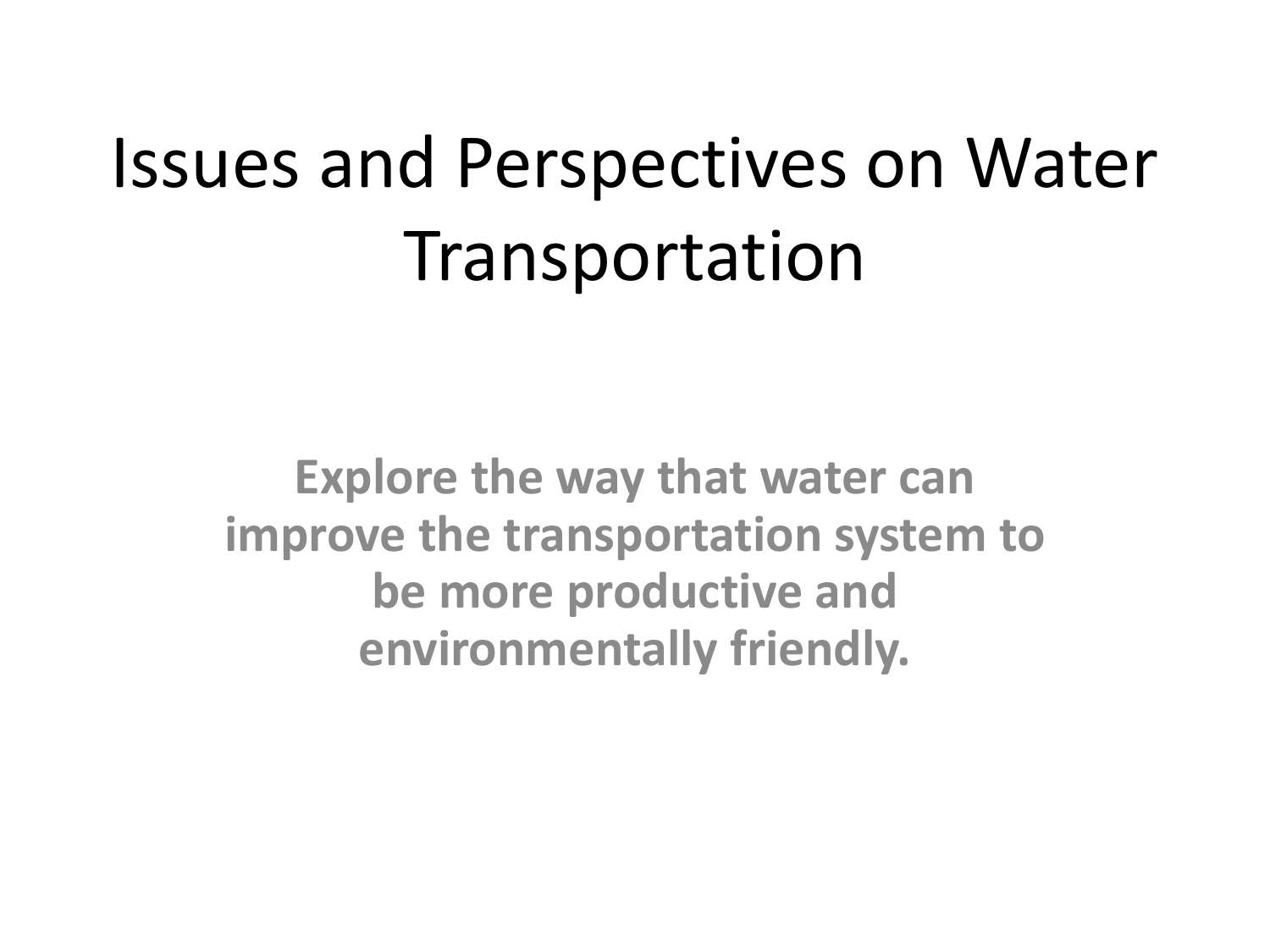# Issues and Perspectives on Water Transportation

**Explore the way that water can improve the transportation system to be more productive and environmentally friendly.**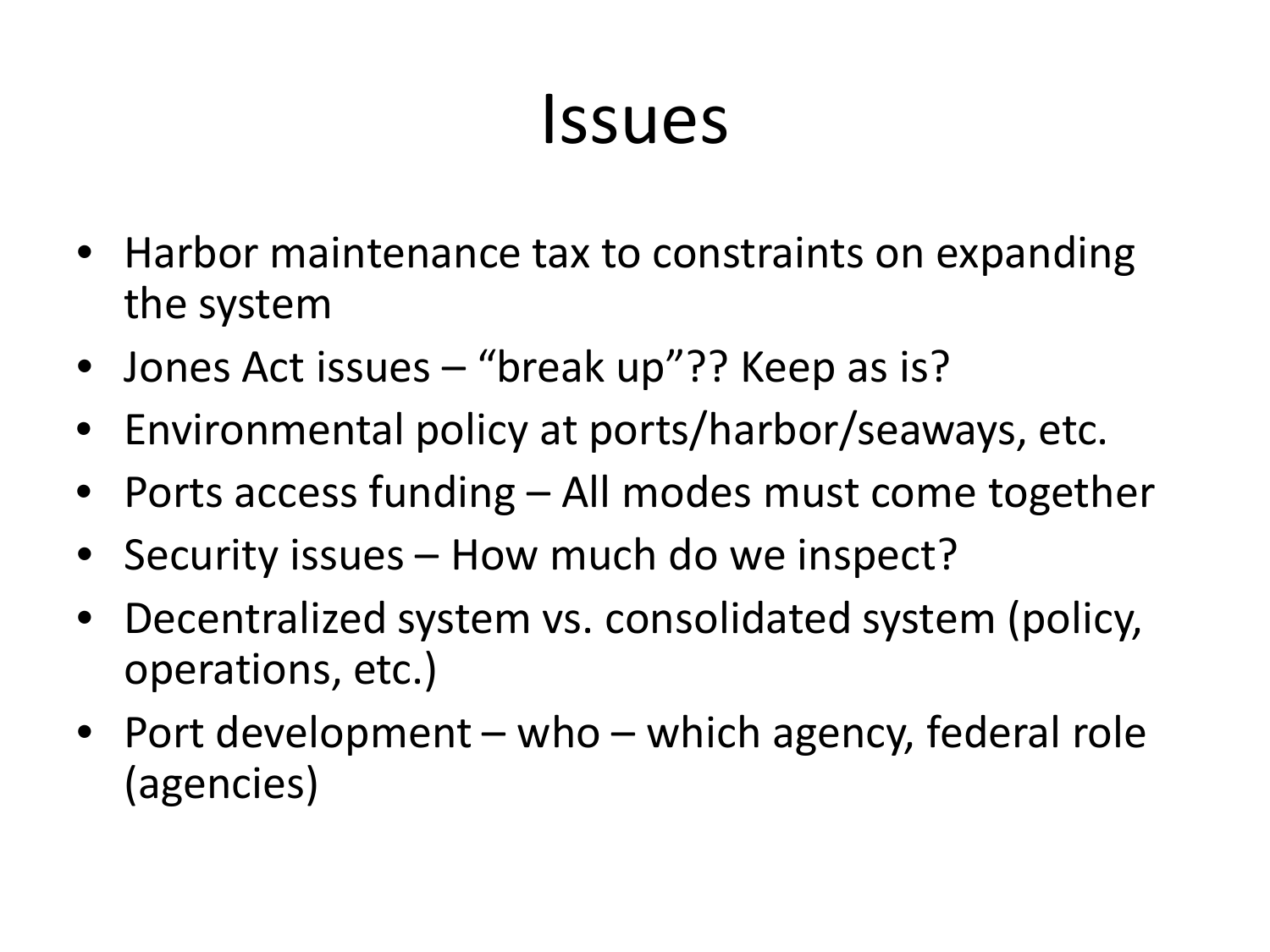#### Issues

- Harbor maintenance tax to constraints on expanding the system
- Jones Act issues "break up"?? Keep as is?
- Environmental policy at ports/harbor/seaways, etc.
- Ports access funding All modes must come together
- Security issues How much do we inspect?
- Decentralized system vs. consolidated system (policy, operations, etc.)
- Port development who which agency, federal role (agencies)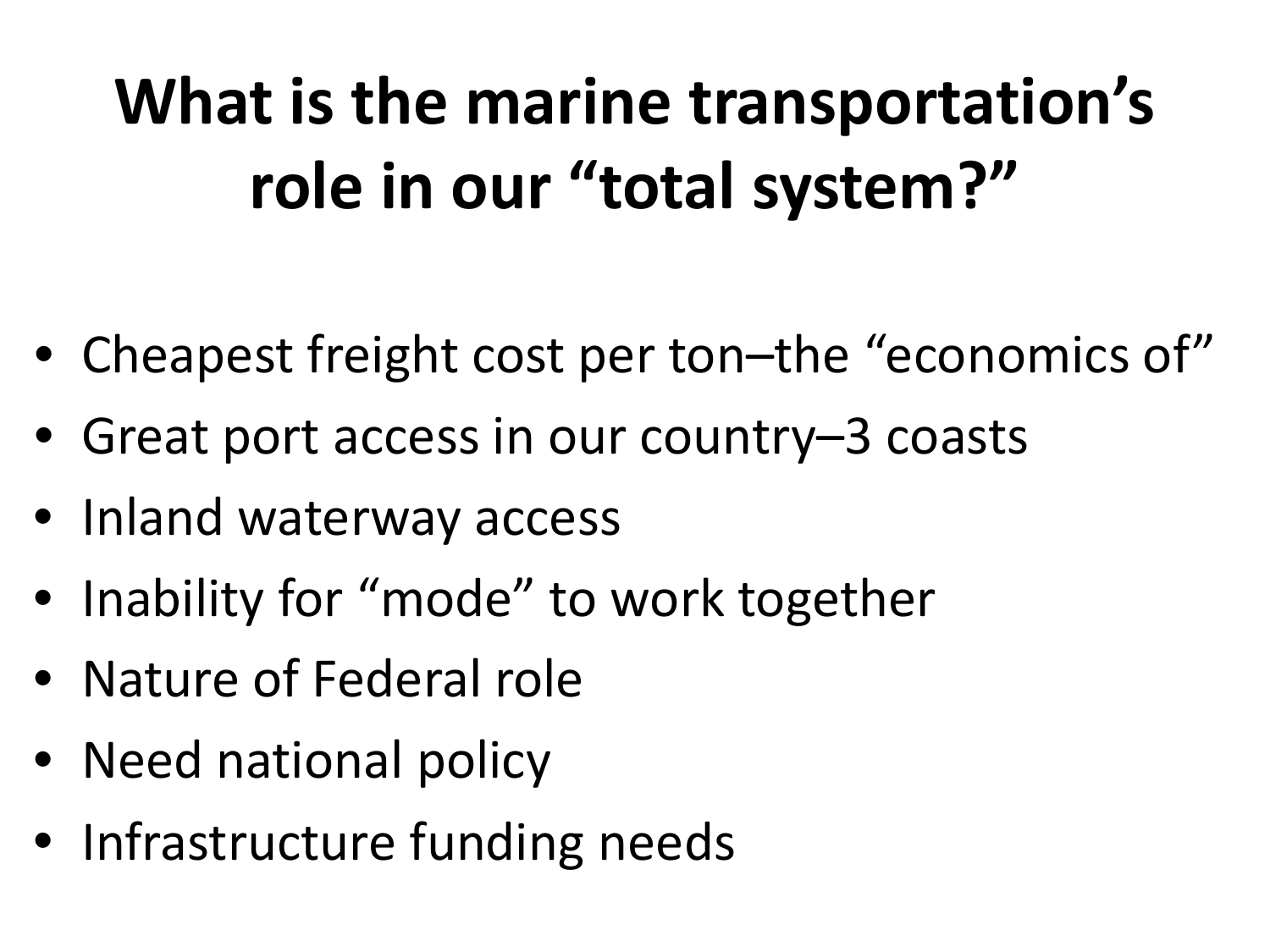### **What is the marine transportation's role in our "total system?"**

- Cheapest freight cost per ton–the "economics of"
- Great port access in our country-3 coasts
- Inland waterway access
- Inability for "mode" to work together
- Nature of Federal role
- Need national policy
- Infrastructure funding needs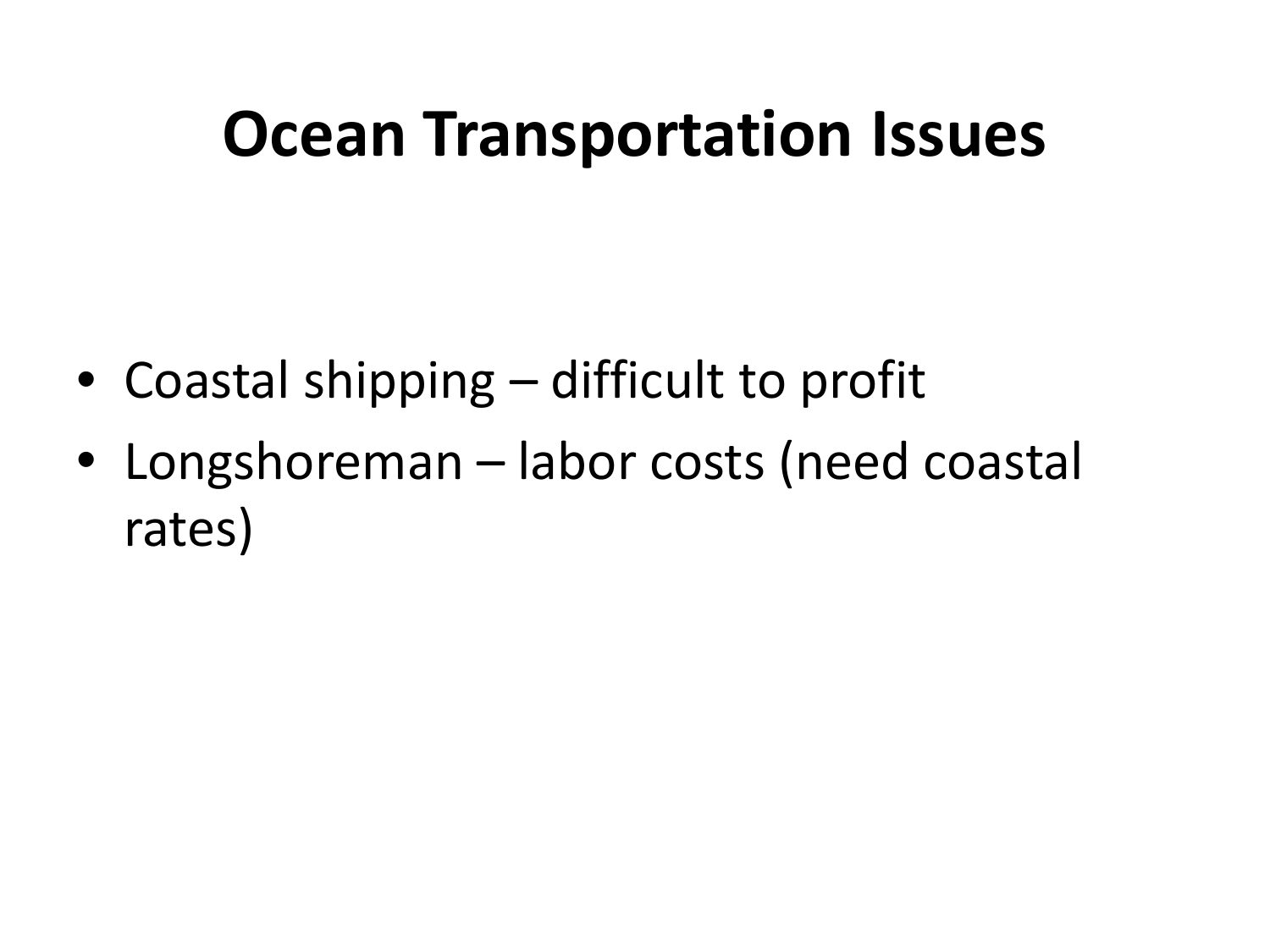#### **Ocean Transportation Issues**

- Coastal shipping difficult to profit
- Longshoreman labor costs (need coastal rates)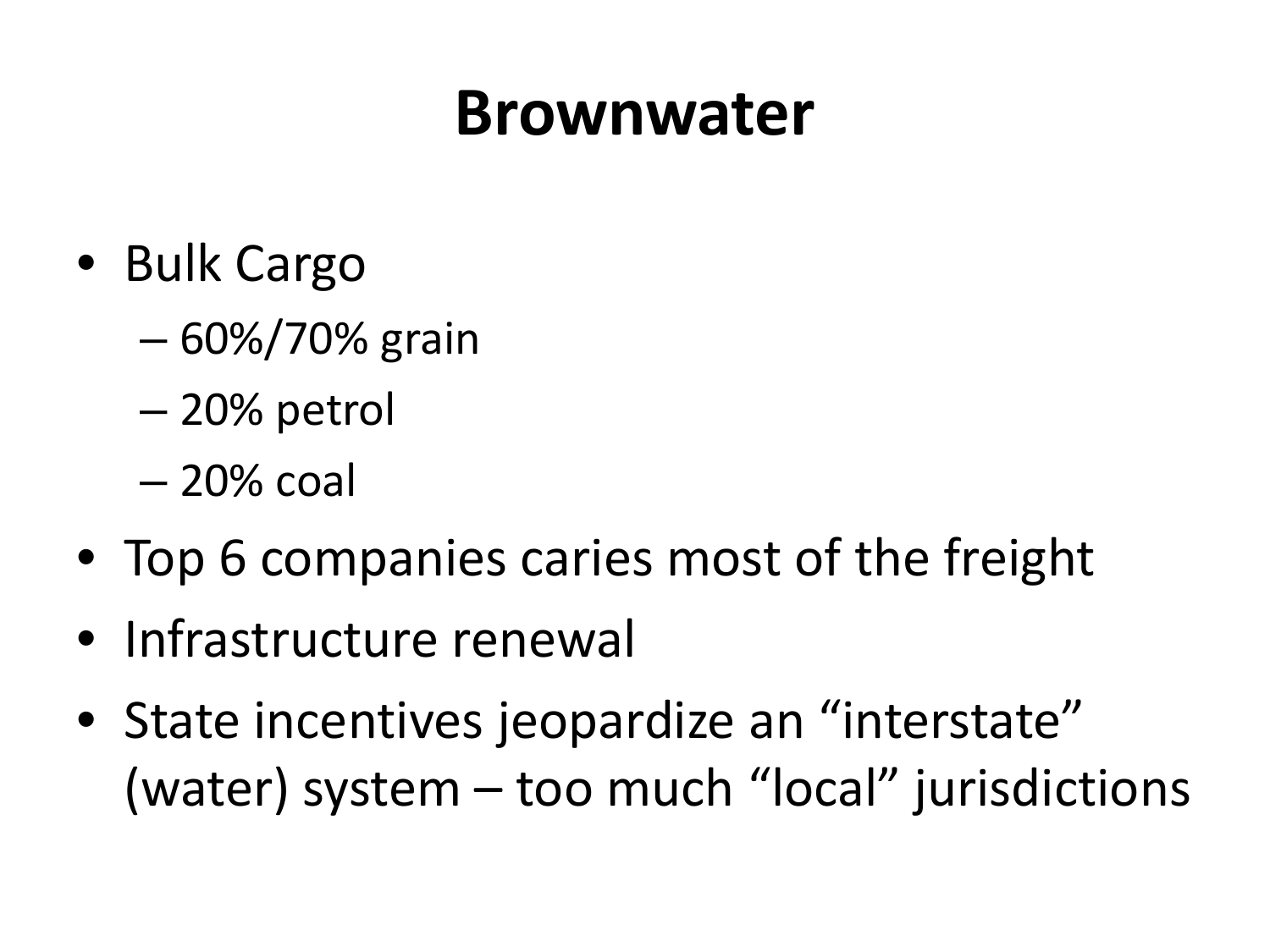#### **Brownwater**

- Bulk Cargo
	- 60%/70% grain
	- 20% petrol
	- 20% coal
- Top 6 companies caries most of the freight
- Infrastructure renewal
- State incentives jeopardize an "interstate" (water) system – too much "local" jurisdictions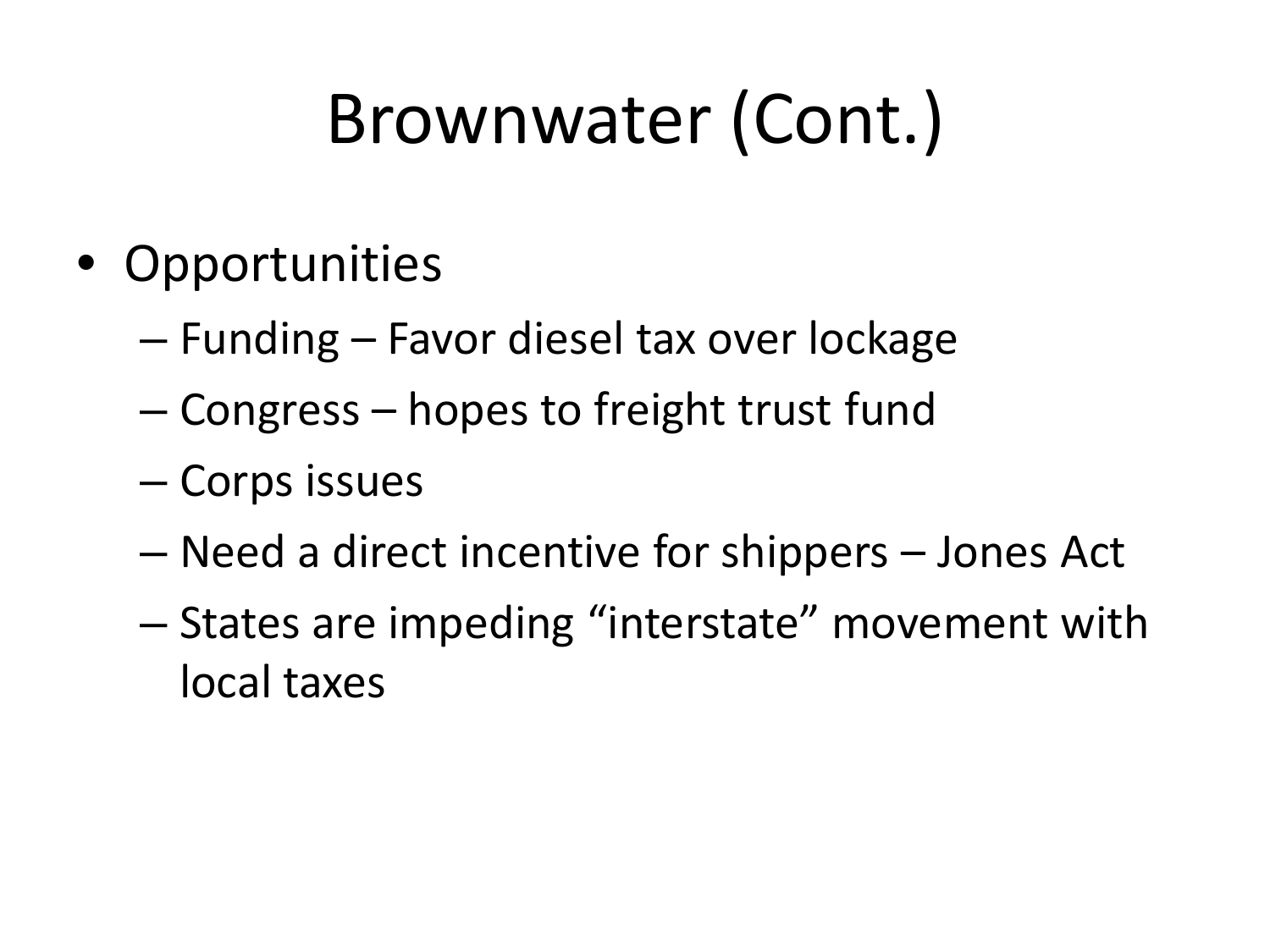## Brownwater (Cont.)

- Opportunities
	- Funding Favor diesel tax over lockage
	- Congress hopes to freight trust fund
	- Corps issues
	- Need a direct incentive for shippers Jones Act
	- States are impeding "interstate" movement with local taxes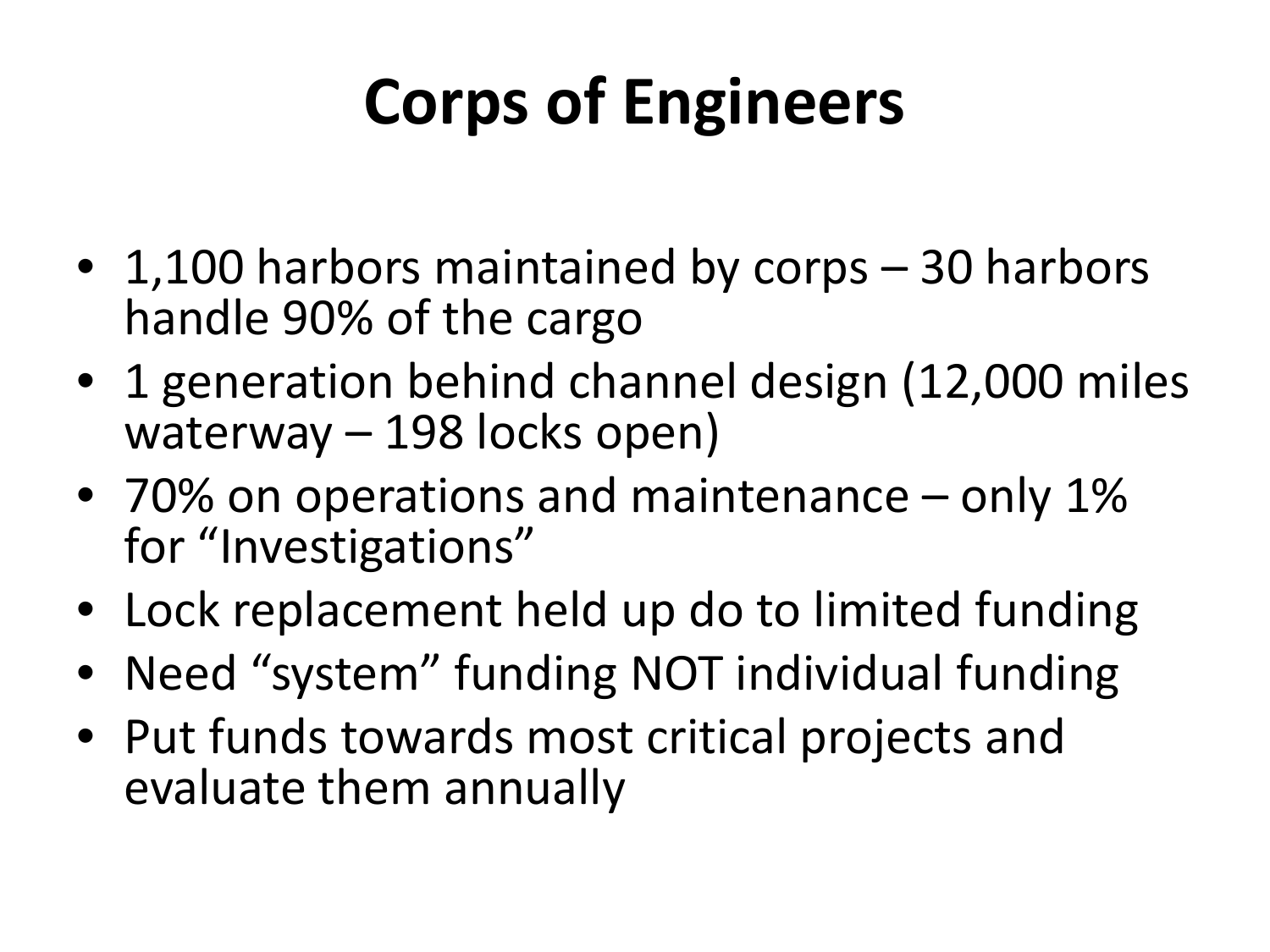#### **Corps of Engineers**

- 1,100 harbors maintained by corps 30 harbors handle 90% of the cargo
- 1 generation behind channel design (12,000 miles waterway – 198 locks open)
- 70% on operations and maintenance only 1% for "Investigations"
- Lock replacement held up do to limited funding
- Need "system" funding NOT individual funding
- Put funds towards most critical projects and evaluate them annually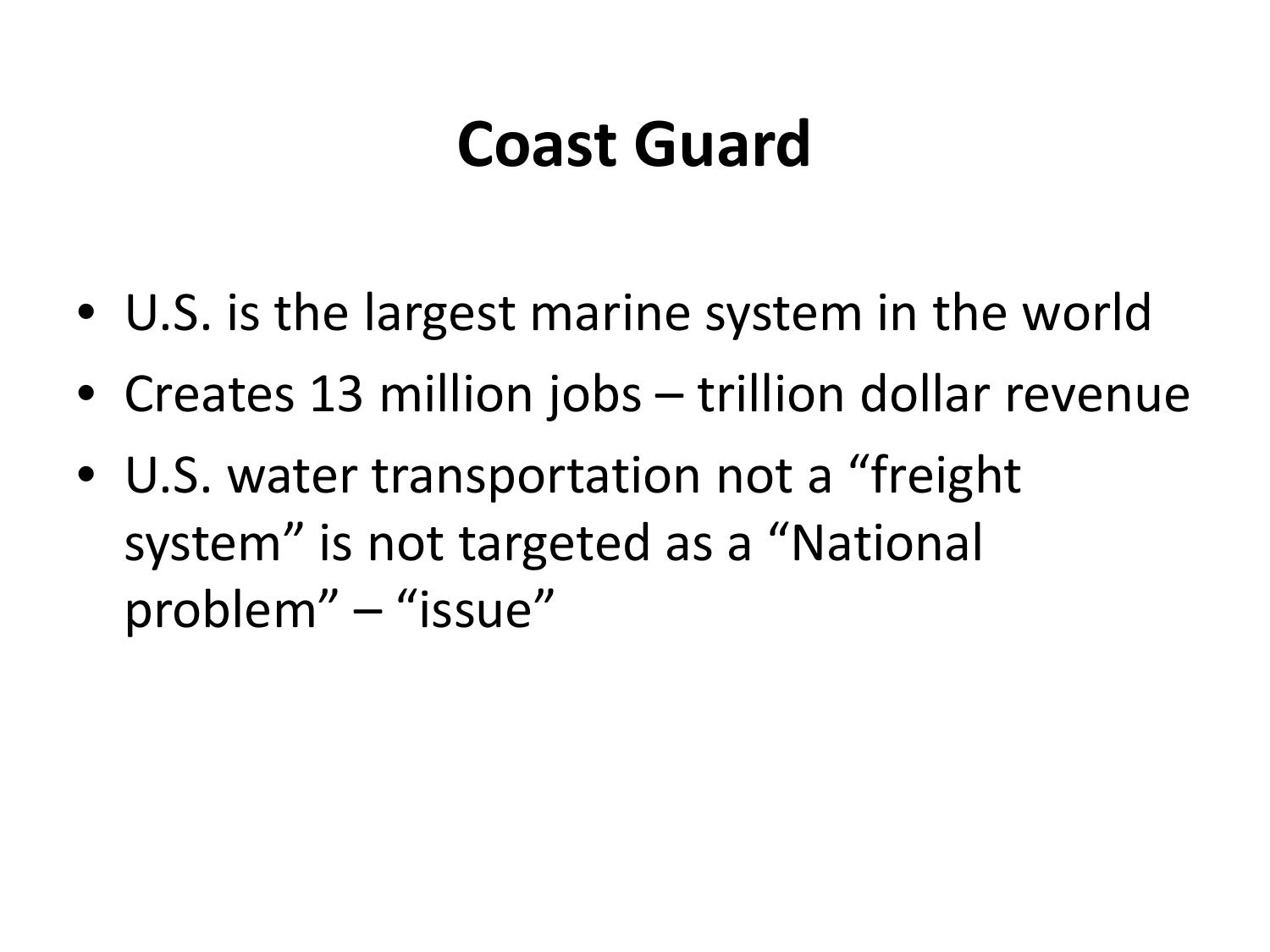#### **Coast Guard**

- U.S. is the largest marine system in the world
- Creates 13 million jobs trillion dollar revenue
- U.S. water transportation not a "freight system" is not targeted as a "National problem" – "issue"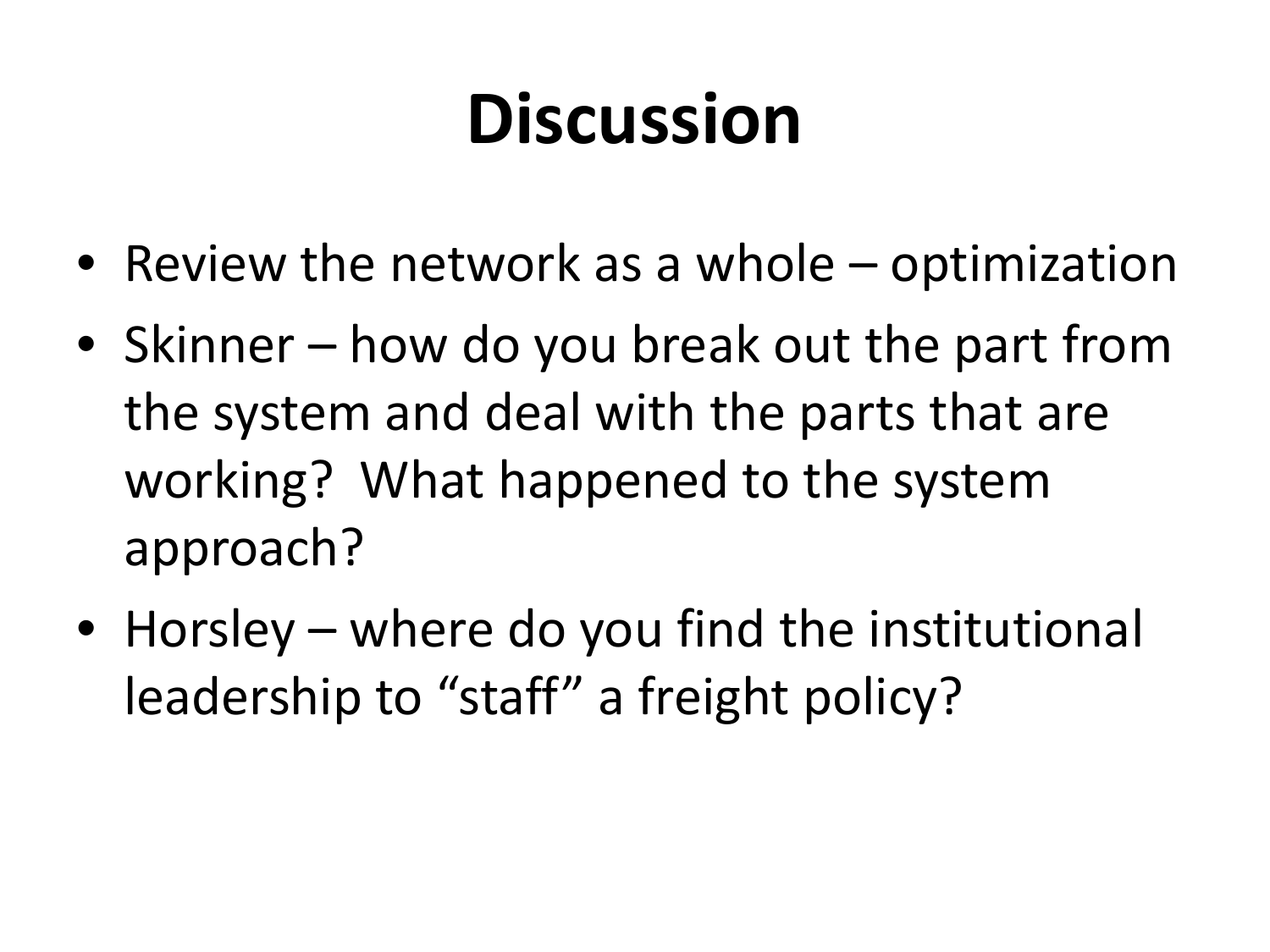## **Discussion**

- Review the network as a whole optimization
- Skinner how do you break out the part from the system and deal with the parts that are working? What happened to the system approach?
- Horsley where do you find the institutional leadership to "staff" a freight policy?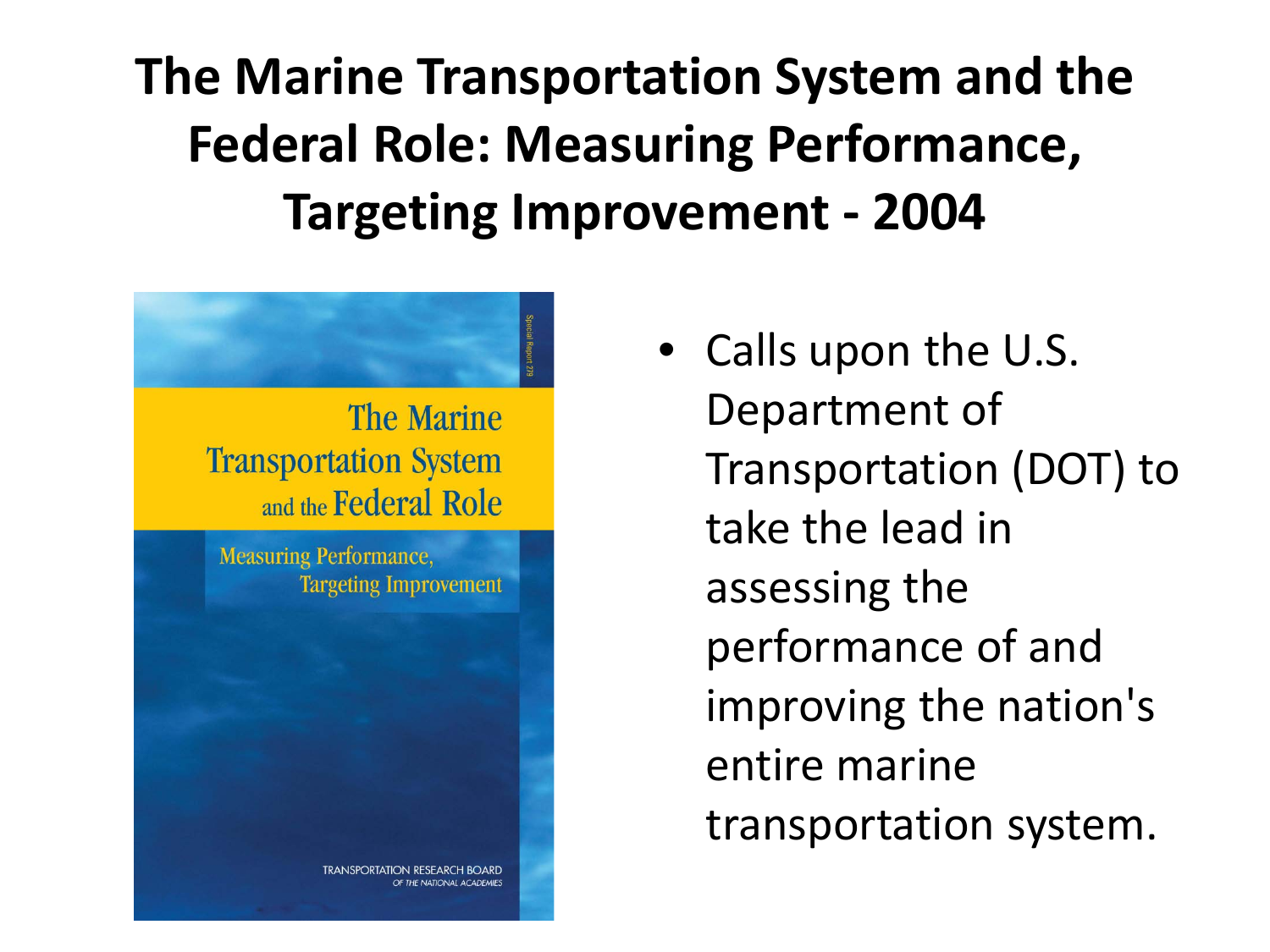**The Marine Transportation System and the Federal Role: Measuring Performance, Targeting Improvement - 2004**



• Calls upon the U.S. Department of Transportation (DOT) to take the lead in assessing the performance of and improving the nation's entire marine transportation system.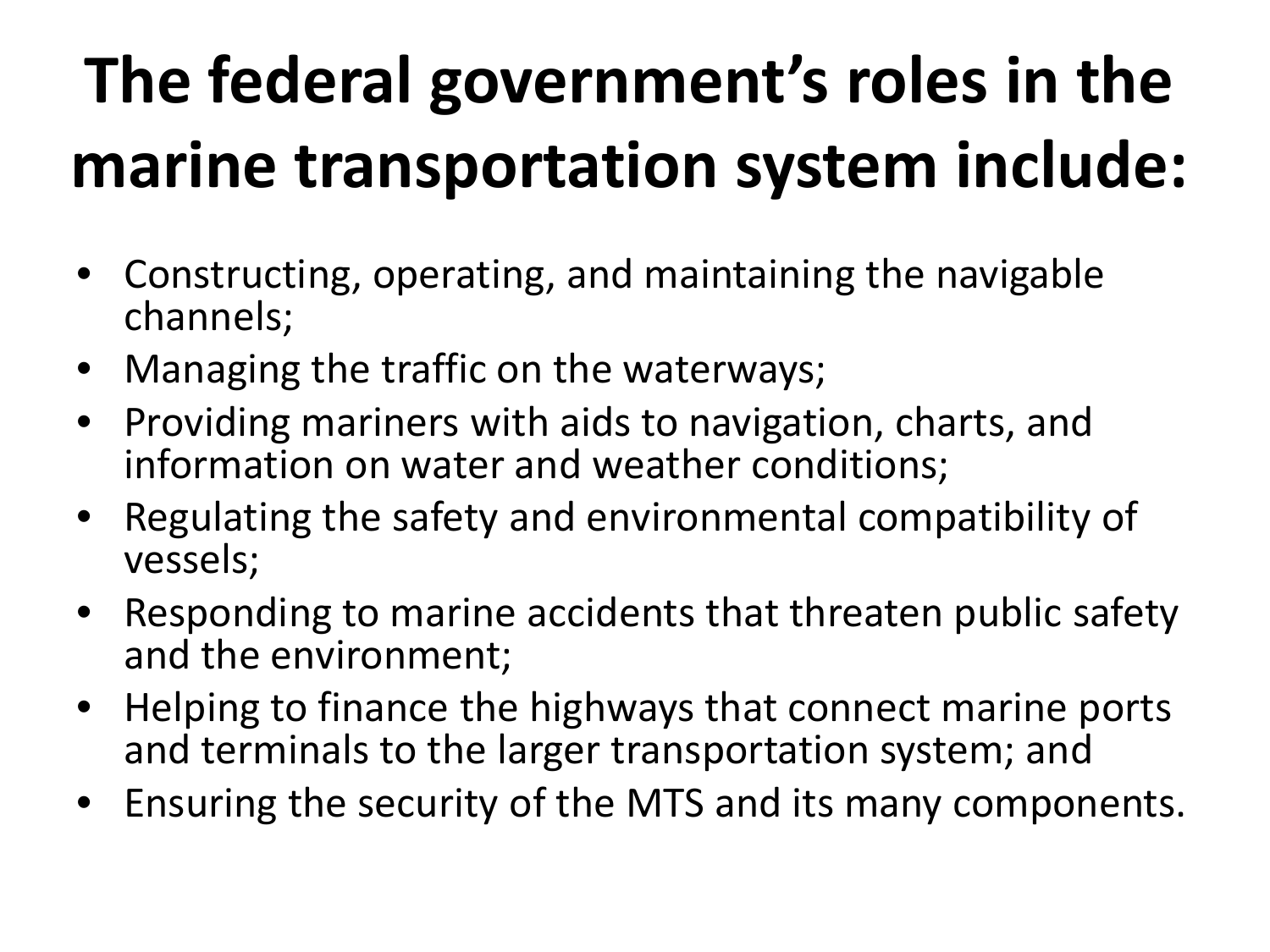# **The federal government's roles in the marine transportation system include:**

- Constructing, operating, and maintaining the navigable channels;
- Managing the traffic on the waterways;
- Providing mariners with aids to navigation, charts, and information on water and weather conditions;
- Regulating the safety and environmental compatibility of vessels;
- Responding to marine accidents that threaten public safety and the environment;
- Helping to finance the highways that connect marine ports and terminals to the larger transportation system; and
- Ensuring the security of the MTS and its many components.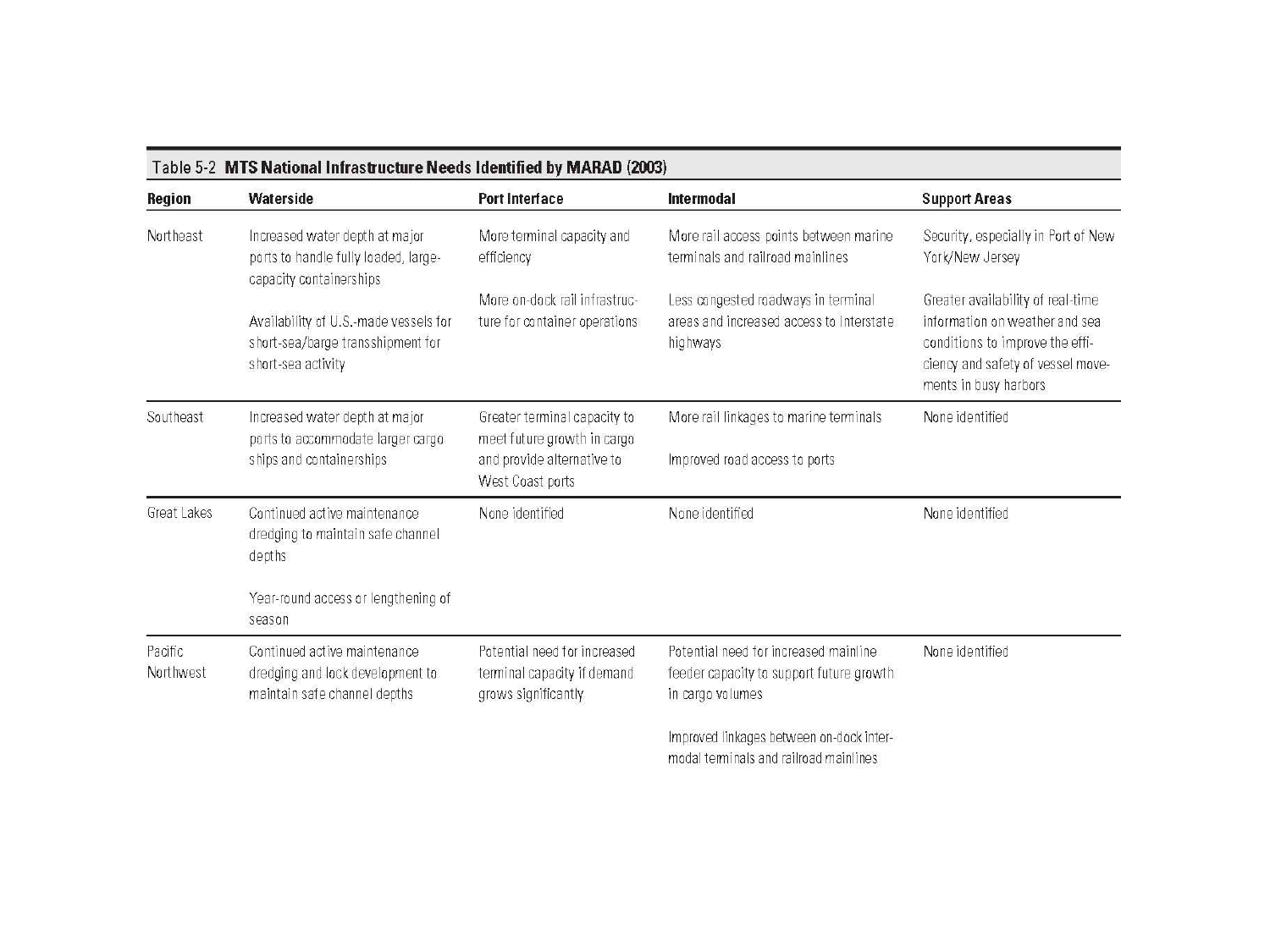|  |  | Table 5-2 MTS National Infrastructure Needs Identified by MARAD (2003) |  |  |  |
|--|--|------------------------------------------------------------------------|--|--|--|
|--|--|------------------------------------------------------------------------|--|--|--|

| Region               | Waterside                                                                                         | <b>Port Interface</b>                                                                                         | Intermodal                                                                                            | <b>Support Areas</b>                                                                                                                                                 |
|----------------------|---------------------------------------------------------------------------------------------------|---------------------------------------------------------------------------------------------------------------|-------------------------------------------------------------------------------------------------------|----------------------------------------------------------------------------------------------------------------------------------------------------------------------|
| Northeast            | Increased water depth at major<br>ports to handle fully loaded, large-<br>capacity containerships | More terminal capacity and<br>efficiency                                                                      | More rail access points between marine<br>terminals and railroad mainlines                            | Security, especially in Port of New<br>York/New Jersey                                                                                                               |
|                      | Availability of U.S.-made vessels for<br>short-sea/barge transshipment for<br>short-sea activity  | More on-dock rail infrastruc-<br>ture for container operations                                                | Less congested roadways in terminal<br>areas and increased access to Interstate<br>highways           | Greater availability of real-time<br>information on weather and sea<br>conditions to improve the effi-<br>ciency and safety of vessel move-<br>ments in busy harbors |
| Southeast            | Increased water depth at major<br>ports to accommodate larger cargo<br>ships and containerships   | Greater terminal capacity to<br>meet future growth in cargo<br>and provide alternative to<br>West Coast ports | More rail linkages to marine terminals<br>Improved road access to ports                               | None identified                                                                                                                                                      |
| Great Lakes          | Continued active maintenance<br>dredging to maintain safe channel<br>depths                       | None identified                                                                                               | None identified                                                                                       | None identified                                                                                                                                                      |
|                      | Year-round access or lengthening of<br>season                                                     |                                                                                                               |                                                                                                       |                                                                                                                                                                      |
| Pacific<br>Northwest | Continued active maintenance<br>dredging and lock development to<br>maintain safe channel depths  | Potential need for increased<br>terminal capacity if demand<br>grows significantly                            | Potential need for increased mainline<br>feeder capacity to support future growth<br>in cargo volumes | None identified                                                                                                                                                      |
|                      |                                                                                                   |                                                                                                               | Improved linkages between on-dock inter-                                                              |                                                                                                                                                                      |

modal terminals and railroad mainlines